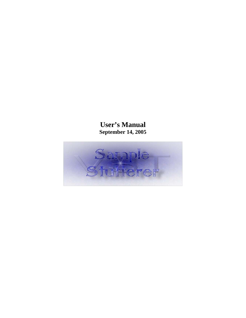# **User's Manual September 14, 2005**

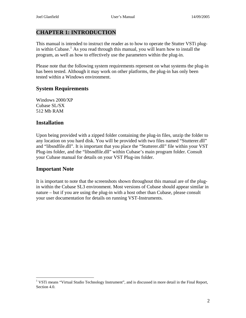## <span id="page-2-0"></span>**CHAPTER 1: INTRODUCTION**

This manual is intended to instruct the reader as to how to operate the Stutter VSTi plug-in within Cubase.<sup>[1](#page-2-1)</sup> As you read through this manual, you will learn how to install the program, as well as how to effectively use the parameters within the plug-in.

Please note that the following system requirements represent on what systems the plug-in has been tested. Although it may work on other platforms, the plug-in has only been tested within a Windows environment.

#### **System Requirements**

Windows 2000/XP Cubase SL/SX 512 Mb RAM

#### **Installation**

Upon being provided with a zipped folder containing the plug-in files, unzip the folder to any location on you hard disk. You will be provided with two files named "Stutterer.dll" and "libsndfile.dll". It is important that you place the "Stutterer.dll" file within your VST Plug-ins folder, and the "libsndfile.dll" within Cubase's main program folder. Consult your Cubase manual for details on your VST Plug-ins folder.

## **Important Note**

 $\overline{a}$ 

It is important to note that the screenshots shown throughout this manual are of the plugin within the Cubase SL3 environment. Most versions of Cubase should appear similar in nature – but if you are using the plug-in with a host other than Cubase, please consult your user documentation for details on running VST-Instruments.

<span id="page-2-1"></span><sup>&</sup>lt;sup>1</sup> VSTi means "Virtual Studio Technology Instrument", and is discussed in more detail in the Final Report, Section 4.0.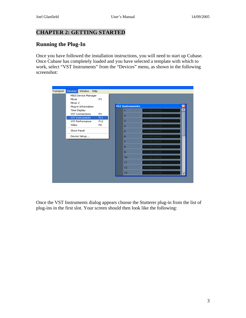## <span id="page-3-0"></span>**CHAPTER 2: GETTING STARTED**

## **Running the Plug-In**

Once you have followed the installation instructions, you will need to start up Cubase. Once Cubase has completely loaded and you have selected a template with which to work, select "VST Instruments" from the "Devices" menu, as shown in the following screenshot:

| Transport | Devices<br>Window Help                 |                |                        |               |   |
|-----------|----------------------------------------|----------------|------------------------|---------------|---|
|           | MIDI Device Manager                    |                |                        |               |   |
|           | Mixer                                  | F <sub>3</sub> |                        |               |   |
|           | Mixer 2                                |                | <b>VST Instruments</b> |               | ⊠ |
|           | Plug-in Information                    |                |                        |               | ㅅ |
|           | Time Display<br><b>VST Connections</b> | F <sub>4</sub> | 1                      | no instrument |   |
|           | <b>VST Instruments</b>                 | F11            | $\overline{2}$         | no instrument |   |
|           | VST Performance                        | F12            | 3                      | no instrument |   |
|           | Video                                  | F <sub>8</sub> | $\overline{4}$         | no instrument |   |
|           | Show Panel                             |                | 5                      | no instrument |   |
|           | Device Setup                           |                | 6                      | no instrument |   |
|           |                                        |                | 7                      | no instrument |   |
|           |                                        |                | 8                      | no instrument |   |
|           |                                        |                | 9                      | no instrument |   |
|           |                                        |                | 10                     | no instrument |   |
|           |                                        |                | 11                     | no instrument |   |
|           |                                        |                | 12                     | no instrument |   |
|           |                                        |                | 13                     | no instrument |   |

Once the VST Instruments dialog appears choose the Stutterer plug-in from the list of plug-ins in the first slot. Your screen should then look like the following: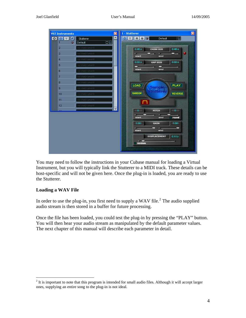<span id="page-4-0"></span>

You may need to follow the instructions in your Cubase manual for loading a Virtual Instrument, but you will typically link the Stutterer to a MIDI track. These details can be host-specific and will not be given here. Once the plug-in is loaded, you are ready to use the Stutterer.

#### **Loading a WAV File**

 $\overline{a}$ 

In order to use the plug-in, you first need to supply a WAV file.<sup>[2](#page-4-1)</sup> The audio supplied audio stream is then stored in a buffer for future processing.

Once the file has been loaded, you could test the plug-in by pressing the "PLAY" button. You will then hear your audio stream as manipulated by the default parameter values. The next chapter of this manual will describe each parameter in detail.

<span id="page-4-1"></span> $2<sup>2</sup>$  It is important to note that this program is intended for small audio files. Although it will accept larger ones, supplying an entire song to the plug-in is not ideal.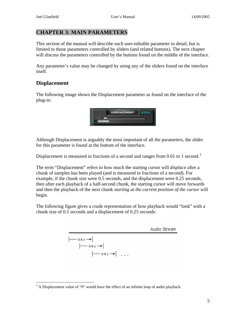#### <span id="page-5-0"></span>**CHAPTER 3: MAIN PARAMETERS**

This section of the manual will describe each user-editable parameter in detail, but is limited to those parameters controlled by sliders (and related buttons). The next chapter will discuss the parameters controlled by the buttons found on the middle of the interface.

Any parameter's value may be changed by using any of the sliders found on the interface itself.

## **Displacement**

 $\overline{a}$ 

The following image shows the Displacement parameter as found on the interface of the plug-in:



Although Displacement is arguably the most important of all the parameters, the slider for this parameter is found at the bottom of the interface.

Displacement is measured in fractions of a second and ranges from 0.01 to 1 second.<sup>[3](#page-5-1)</sup>

The term "Displacement" refers to how much the starting cursor will *displace* after a chunk of samples has been played (and is measured in fractions of a second). For example, if the chunk size were 0.5 seconds, and the displacement were 0.25 seconds, then after each playback of a half-second chunk, the starting cursor will move forwards and then the playback of the next chunk *starting at the current position of the cursor* will begin.

The following figure gives a crude representation of how playback would "look" with a chunk size of 0.5 seconds and a displacement of 0.25 seconds:

| Audio Stream |                      |
|--------------|----------------------|
| $-$          | $0.5 s \rightarrow$  |
| $ -$         | $0.5 s \rightarrow $ |
| $ -$         | $0.5 s \rightarrow $ |

<span id="page-5-1"></span> $3$  A Displacement value of "0" would have the effect of an infinite loop of audio playback.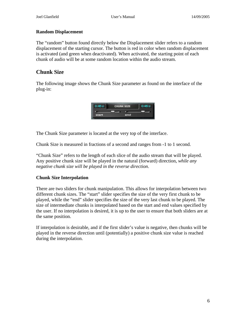#### <span id="page-6-0"></span>**Random Displacement**

The "random" button found directly below the Displacement slider refers to a random displacement of the starting cursor. The button is red in color when random displacement is activated (and green when deactivated). When activated, the starting point of each chunk of audio will be at some random location within the audio stream.

## **Chunk Size**

The following image shows the Chunk Size parameter as found on the interface of the plug-in:

|  | UNK SIZE |  |
|--|----------|--|
|  | end      |  |

The Chunk Size parameter is located at the very top of the interface.

Chunk Size is measured in fractions of a second and ranges from -1 to 1 second.

"Chunk Size" refers to the length of each slice of the audio stream that will be played. Any positive chunk size will be played in the natural (forward) direction, *while any negative chunk size will be played in the reverse direction*.

#### **Chunk Size Interpolation**

There are two sliders for chunk manipulation. This allows for interpolation between two different chunk sizes. The "start" slider specifies the size of the very first chunk to be played, while the "end" slider specifies the size of the very last chunk to be played. The size of intermediate chunks is interpolated based on the start and end values specified by the user. If no interpolation is desired, it is up to the user to ensure that both sliders are at the same position.

If interpolation is desirable, and if the first slider's value is negative, then chunks will be played in the reverse direction until (potentially) a positive chunk size value is reached during the interpolation.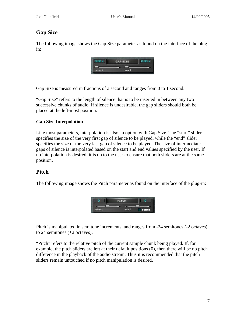## <span id="page-7-0"></span>**Gap Size**

The following image shows the Gap Size parameter as found on the interface of the plugin:

| $-90<$ | <b>GAP SIZE</b> | 200 <sup>2</sup> |
|--------|-----------------|------------------|
|        |                 |                  |
| start  | end.            |                  |

Gap Size is measured in fractions of a second and ranges from 0 to 1 second.

"Gap Size" refers to the length of silence that is to be inserted in between any two successive chunks of audio. If silence is undesirable, the gap sliders should both be placed at the left-most position.

#### **Gap Size Interpolation**

Like most parameters, interpolation is also an option with Gap Size. The "start" slider specifies the size of the very first gap of silence to be played, while the "end" slider specifies the size of the very last gap of silence to be played. The size of intermediate gaps of silence is interpolated based on the start and end values specified by the user. If no interpolation is desired, it is up to the user to ensure that both sliders are at the same position.

## **Pitch**

The following image shows the Pitch parameter as found on the interface of the plug-in:



Pitch is manipulated in semitone increments, and ranges from -24 semitones (-2 octaves) to 24 semitones (+2 octaves).

"Pitch" refers to the relative pitch of the current sample chunk being played. If, for example, the pitch sliders are left at their default positions (0), then there will be no pitch difference in the playback of the audio stream. Thus it is recommended that the pitch sliders remain untouched if no pitch manipulation is desired.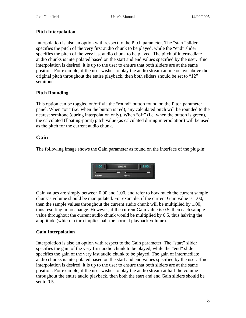#### <span id="page-8-0"></span>**Pitch Interpolation**

Interpolation is also an option with respect to the Pitch parameter. The "start" slider specifies the pitch of the very first audio chunk to be played, while the "end" slider specifies the pitch of the very last audio chunk to be played. The pitch of intermediate audio chunks is interpolated based on the start and end values specified by the user. If no interpolation is desired, it is up to the user to ensure that both sliders are at the same position. For example, if the user wishes to play the audio stream at one octave above the original pitch throughout the entire playback, then both sliders should be set to "12" semitones.

#### **Pitch Rounding**

This option can be toggled on/off via the "round" button found on the Pitch parameter panel. When "on" (i.e. when the button is red), any calculated pitch will be rounded to the nearest semitone (during interpolation only). When "off" (i.e. when the button is green), the calculated (floating-point) pitch value (as calculated during interpolation) will be used as the pitch for the current audio chunk.

## **Gain**

The following image shows the Gain parameter as found on the interface of the plug-in:

|       | <b>GAIN</b>  |  |
|-------|--------------|--|
|       |              |  |
| start | <b>STATE</b> |  |

Gain values are simply between 0.00 and 1.00, and refer to how much the current sample chunk's volume should be manipulated. For example, if the current Gain value is 1.00, then the sample values throughout the current audio chunk will be multiplied by 1.00, thus resulting in no change. However, if the current Gain value is 0.5, then each sample value throughout the current audio chunk would be multiplied by 0.5, thus halving the amplitude (which in turn implies half the normal playback volume).

#### **Gain Interpolation**

Interpolation is also an option with respect to the Gain parameter. The "start" slider specifies the gain of the very first audio chunk to be played, while the "end" slider specifies the gain of the very last audio chunk to be played. The gain of intermediate audio chunks is interpolated based on the start and end values specified by the user. If no interpolation is desired, it is up to the user to ensure that both sliders are at the same position. For example, if the user wishes to play the audio stream at half the volume throughout the entire audio playback, then both the start and end Gain sliders should be set to 0.5.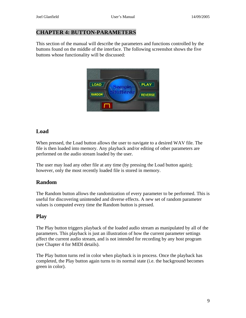#### <span id="page-9-0"></span>**CHAPTER 4: BUTTON-PARAMETERS**

This section of the manual will describe the parameters and functions controlled by the buttons found on the middle of the interface. The following screenshot shows the five buttons whose functionality will be discussed:



## **Load**

When pressed, the Load button allows the user to navigate to a desired WAV file. The file is then loaded into memory. Any playback and/or editing of other parameters are performed on the audio stream loaded by the user.

The user may load any other file at any time (by pressing the Load button again); however, only the most recently loaded file is stored in memory.

## **Random**

The Random button allows the randomization of every parameter to be performed. This is useful for discovering unintended and diverse effects. A new set of random parameter values is computed every time the Random button is pressed.

## **Play**

The Play button triggers playback of the loaded audio stream as manipulated by all of the parameters. This playback is just an illustration of how the current parameter settings affect the current audio stream, and is not intended for recording by any host program (see Chapter 4 for MIDI details).

The Play button turns red in color when playback is in process. Once the playback has completed, the Play button again turns to its normal state (i.e. the background becomes green in color).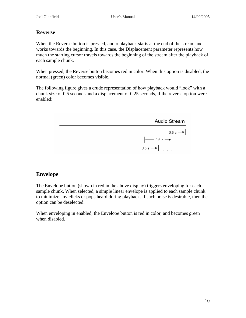## <span id="page-10-0"></span>**Reverse**

When the Reverse button is pressed, audio playback starts at the end of the stream and works towards the beginning. In this case, the Displacement parameter represents how much the starting cursor travels towards the beginning of the stream after the playback of each sample chunk.

When pressed, the Reverse button becomes red in color. When this option is disabled, the normal (green) color becomes visible.

The following figure gives a crude representation of how playback would "look" with a chunk size of 0.5 seconds and a displacement of 0.25 seconds, if the reverse option were enabled:



## **Envelope**

The Envelope button (shown in red in the above display) triggers enveloping for each sample chunk. When selected, a simple linear envelope is applied to each sample chunk to minimize any clicks or pops heard during playback. If such noise is desirable, then the option can be deselected.

When enveloping in enabled, the Envelope button is red in color, and becomes green when disabled.